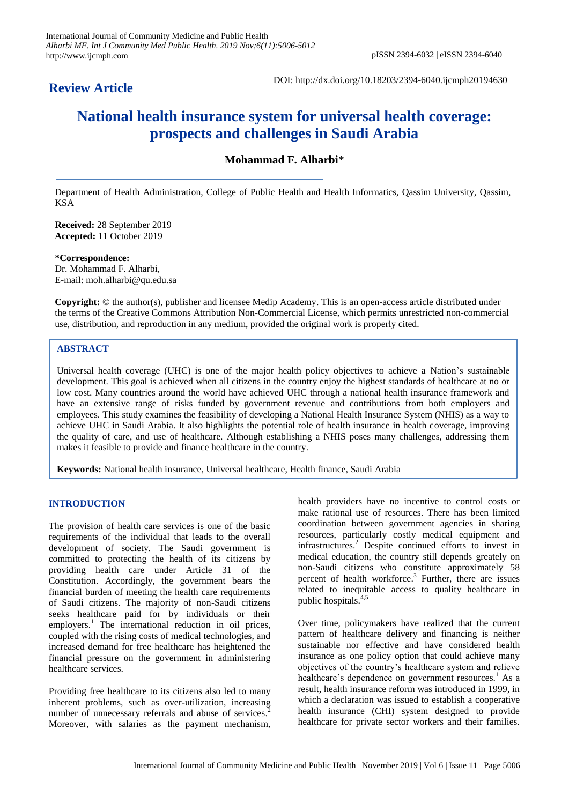# **Review Article**

DOI: http://dx.doi.org/10.18203/2394-6040.ijcmph20194630

# **National health insurance system for universal health coverage: prospects and challenges in Saudi Arabia**

**Mohammad F. Alharbi**\*

Department of Health Administration, College of Public Health and Health Informatics, Qassim University, Qassim, KSA

**Received:** 28 September 2019 **Accepted:** 11 October 2019

**\*Correspondence:** Dr. Mohammad F. Alharbi, E-mail: moh.alharbi@qu.edu.sa

**Copyright:** © the author(s), publisher and licensee Medip Academy. This is an open-access article distributed under the terms of the Creative Commons Attribution Non-Commercial License, which permits unrestricted non-commercial use, distribution, and reproduction in any medium, provided the original work is properly cited.

# **ABSTRACT**

Universal health coverage (UHC) is one of the major health policy objectives to achieve a Nation's sustainable development. This goal is achieved when all citizens in the country enjoy the highest standards of healthcare at no or low cost. Many countries around the world have achieved UHC through a national health insurance framework and have an extensive range of risks funded by government revenue and contributions from both employers and employees. This study examines the feasibility of developing a National Health Insurance System (NHIS) as a way to achieve UHC in Saudi Arabia. It also highlights the potential role of health insurance in health coverage, improving the quality of care, and use of healthcare. Although establishing a NHIS poses many challenges, addressing them makes it feasible to provide and finance healthcare in the country.

**Keywords:** National health insurance, Universal healthcare, Health finance, Saudi Arabia

# **INTRODUCTION**

The provision of health care services is one of the basic requirements of the individual that leads to the overall development of society. The Saudi government is committed to protecting the health of its citizens by providing health care under Article 31 of the Constitution. Accordingly, the government bears the financial burden of meeting the health care requirements of Saudi citizens. The majority of non-Saudi citizens seeks healthcare paid for by individuals or their employers.<sup>1</sup> The international reduction in oil prices, coupled with the rising costs of medical technologies, and increased demand for free healthcare has heightened the financial pressure on the government in administering healthcare services.

Providing free healthcare to its citizens also led to many inherent problems, such as over-utilization, increasing number of unnecessary referrals and abuse of services.<sup>2</sup> Moreover, with salaries as the payment mechanism,

health providers have no incentive to control costs or make rational use of resources. There has been limited coordination between government agencies in sharing resources, particularly costly medical equipment and infrastructures.<sup>2</sup> Despite continued efforts to invest in medical education, the country still depends greately on non-Saudi citizens who constitute approximately 58 percent of health workforce. 3 Further, there are issues related to inequitable access to quality healthcare in public hospitals. 4,5

Over time, policymakers have realized that the current pattern of healthcare delivery and financing is neither sustainable nor effective and have considered health insurance as one policy option that could achieve many objectives of the country's healthcare system and relieve healthcare's dependence on government resources.<sup>1</sup> As a result, health insurance reform was introduced in 1999, in which a declaration was issued to establish a cooperative health insurance (CHI) system designed to provide healthcare for private sector workers and their families.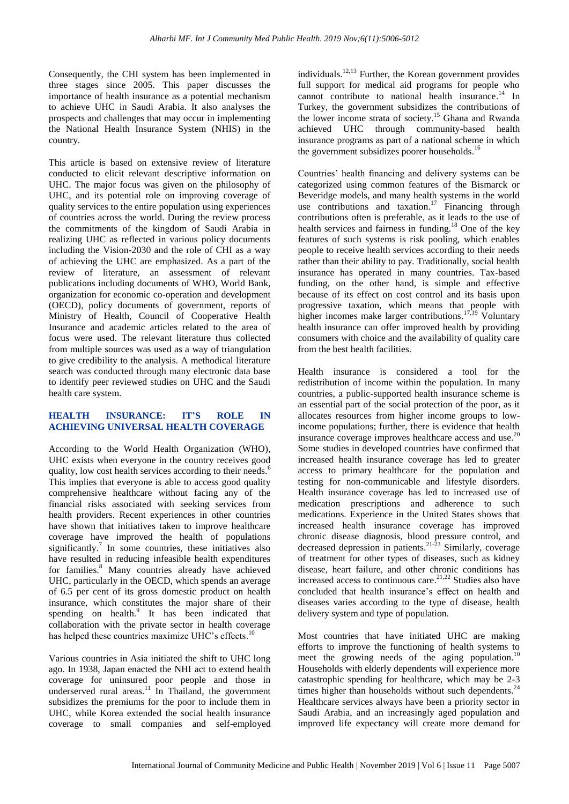Consequently, the CHI system has been implemented in three stages since 2005. This paper discusses the importance of health insurance as a potential mechanism to achieve UHC in Saudi Arabia. It also analyses the prospects and challenges that may occur in implementing the National Health Insurance System (NHIS) in the country.

This article is based on extensive review of literature conducted to elicit relevant descriptive information on UHC. The major focus was given on the philosophy of UHC, and its potential role on improving coverage of quality services to the entire population using experiences of countries across the world. During the review process the commitments of the kingdom of Saudi Arabia in realizing UHC as reflected in various policy documents including the Vision-2030 and the role of CHI as a way of achieving the UHC are emphasized. As a part of the review of literature, an assessment of relevant publications including documents of WHO, World Bank, organization for economic co-operation and development (OECD), policy documents of government, reports of Ministry of Health, Council of Cooperative Health Insurance and academic articles related to the area of focus were used. The relevant literature thus collected from multiple sources was used as a way of triangulation to give credibility to the analysis. A methodical literature search was conducted through many electronic data base to identify peer reviewed studies on UHC and the Saudi health care system.

# **HEALTH INSURANCE: IT'S ROLE IN ACHIEVING UNIVERSAL HEALTH COVERAGE**

According to the World Health Organization (WHO), UHC exists when everyone in the country receives good quality, low cost health services according to their needs.<sup>6</sup> This implies that everyone is able to access good quality comprehensive healthcare without facing any of the financial risks associated with seeking services from health providers. Recent experiences in other countries have shown that initiatives taken to improve healthcare coverage have improved the health of populations significantly.<sup>7</sup> In some countries, these initiatives also have resulted in reducing infeasible health expenditures for families. <sup>8</sup> Many countries already have achieved UHC, particularly in the OECD, which spends an average of 6.5 per cent of its gross domestic product on health insurance, which constitutes the major share of their spending on health.<sup>9</sup> It has been indicated that collaboration with the private sector in health coverage has helped these countries maximize UHC's effects.<sup>10</sup>

Various countries in Asia initiated the shift to UHC long ago. In 1938, Japan enacted the NHI act to extend health coverage for uninsured poor people and those in underserved rural areas.<sup>11</sup> In Thailand, the government subsidizes the premiums for the poor to include them in UHC, while Korea extended the social health insurance coverage to small companies and self-employed

individuals.<sup>12,13</sup> Further, the Korean government provides full support for medical aid programs for people who cannot contribute to national health insurance. <sup>14</sup> In Turkey, the government subsidizes the contributions of the lower income strata of society.<sup>15</sup> Ghana and Rwanda achieved UHC through community-based health insurance programs as part of a national scheme in which the government subsidizes poorer households.<sup>16</sup>

Countries' health financing and delivery systems can be categorized using common features of the Bismarck or Beveridge models, and many health systems in the world use contributions and taxation.<sup>17</sup> Financing through contributions often is preferable, as it leads to the use of health services and fairness in funding.<sup>18</sup> One of the key features of such systems is risk pooling, which enables people to receive health services according to their needs rather than their ability to pay. Traditionally, social health insurance has operated in many countries. Tax-based funding, on the other hand, is simple and effective because of its effect on cost control and its basis upon progressive taxation, which means that people with higher incomes make larger contributions.<sup>17,19</sup> Voluntary health insurance can offer improved health by providing consumers with choice and the availability of quality care from the best health facilities.

Health insurance is considered a tool for the redistribution of income within the population. In many countries, a public-supported health insurance scheme is an essential part of the social protection of the poor, as it allocates resources from higher income groups to lowincome populations; further, there is evidence that health insurance coverage improves healthcare access and use.<sup>20</sup> Some studies in developed countries have confirmed that increased health insurance coverage has led to greater access to primary healthcare for the population and testing for non-communicable and lifestyle disorders. Health insurance coverage has led to increased use of medication prescriptions and adherence to such medications. Experience in the United States shows that increased health insurance coverage has improved chronic disease diagnosis, blood pressure control, and decreased depression in patients.<sup>21-23</sup> Similarly, coverage of treatment for other types of diseases, such as kidney disease, heart failure, and other chronic conditions has increased access to continuous care. 21,22 Studies also have concluded that health insurance's effect on health and diseases varies according to the type of disease, health delivery system and type of population.

Most countries that have initiated UHC are making efforts to improve the functioning of health systems to meet the growing needs of the aging population.<sup>10</sup> Households with elderly dependents will experience more catastrophic spending for healthcare, which may be 2-3 times higher than households without such dependents.<sup>24</sup> Healthcare services always have been a priority sector in Saudi Arabia, and an increasingly aged population and improved life expectancy will create more demand for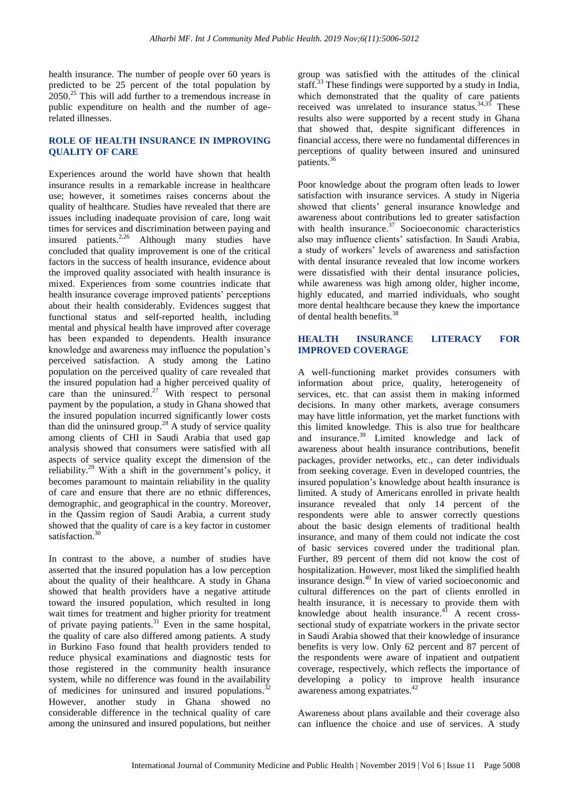health insurance. The number of people over 60 years is predicted to be 25 percent of the total population by 2050.<sup>25</sup> This will add further to a tremendous increase in public expenditure on health and the number of agerelated illnesses.

# **ROLE OF HEALTH INSURANCE IN IMPROVING QUALITY OF CARE**

Experiences around the world have shown that health insurance results in a remarkable increase in healthcare use; however, it sometimes raises concerns about the quality of healthcare. Studies have revealed that there are issues including inadequate provision of care, long wait times for services and discrimination between paying and insured patients.<sup>2,26</sup> Although many studies have concluded that quality improvement is one of the critical factors in the success of health insurance, evidence about the improved quality associated with health insurance is mixed. Experiences from some countries indicate that health insurance coverage improved patients' perceptions about their health considerably. Evidences suggest that functional status and self-reported health, including mental and physical health have improved after coverage has been expanded to dependents. Health insurance knowledge and awareness may influence the population's perceived satisfaction. A study among the Latino population on the perceived quality of care revealed that the insured population had a higher perceived quality of care than the uninsured.<sup>27</sup> With respect to personal payment by the population, a study in Ghana showed that the insured population incurred significantly lower costs than did the uninsured group. <sup>28</sup> A study of service quality among clients of CHI in Saudi Arabia that used gap analysis showed that consumers were satisfied with all aspects of service quality except the dimension of the reliability.<sup>29</sup> With a shift in the government's policy, it becomes paramount to maintain reliability in the quality of care and ensure that there are no ethnic differences, demographic, and geographical in the country. Moreover, in the Qassim region of Saudi Arabia, a current study showed that the quality of care is a key factor in customer satisfaction.<sup>30</sup>

In contrast to the above, a number of studies have asserted that the insured population has a low perception about the quality of their healthcare. A study in Ghana showed that health providers have a negative attitude toward the insured population, which resulted in long wait times for treatment and higher priority for treatment of private paying patients. <sup>31</sup> Even in the same hospital, the quality of care also differed among patients. A study in Burkino Faso found that health providers tended to reduce physical examinations and diagnostic tests for those registered in the community health insurance system, while no difference was found in the availability of medicines for uninsured and insured populations. $32$ However, another study in Ghana showed no considerable difference in the technical quality of care among the uninsured and insured populations, but neither

group was satisfied with the attitudes of the clinical staff.<sup>3</sup>  $33$ <sup>33</sup> These findings were supported by a study in India, which demonstrated that the quality of care patients received was unrelated to insurance status.<sup>34,35</sup> These results also were supported by a recent study in Ghana that showed that, despite significant differences in financial access, there were no fundamental differences in perceptions of quality between insured and uninsured patients. 36

Poor knowledge about the program often leads to lower satisfaction with insurance services. A study in Nigeria showed that clients' general insurance knowledge and awareness about contributions led to greater satisfaction with health insurance.<sup>37</sup> Socioeconomic characteristics also may influence clients' satisfaction. In Saudi Arabia, a study of workers' levels of awareness and satisfaction with dental insurance revealed that low income workers were dissatisfied with their dental insurance policies, while awareness was high among older, higher income, highly educated, and married individuals, who sought more dental healthcare because they knew the importance of dental health benefits.<sup>38</sup>

#### **HEALTH INSURANCE LITERACY FOR IMPROVED COVERAGE**

A well-functioning market provides consumers with information about price, quality, heterogeneity of services, etc. that can assist them in making informed decisions. In many other markets, average consumers may have little information, yet the market functions with this limited knowledge. This is also true for healthcare and insurance. <sup>39</sup> Limited knowledge and lack of awareness about health insurance contributions, benefit packages, provider networks, etc., can deter individuals from seeking coverage. Even in developed countries, the insured population's knowledge about health insurance is limited. A study of Americans enrolled in private health insurance revealed that only 14 percent of the respondents were able to answer correctly questions about the basic design elements of traditional health insurance, and many of them could not indicate the cost of basic services covered under the traditional plan. Further, 89 percent of them did not know the cost of hospitalization. However, most liked the simplified health insurance design. <sup>40</sup> In view of varied socioeconomic and cultural differences on the part of clients enrolled in health insurance, it is necessary to provide them with knowledge about health insurance. $^{41}$  A recent crosssectional study of expatriate workers in the private sector in Saudi Arabia showed that their knowledge of insurance benefits is very low. Only 62 percent and 87 percent of the respondents were aware of inpatient and outpatient coverage, respectively, which reflects the importance of developing a policy to improve health insurance awareness among expatriates. 42

Awareness about plans available and their coverage also can influence the choice and use of services. A study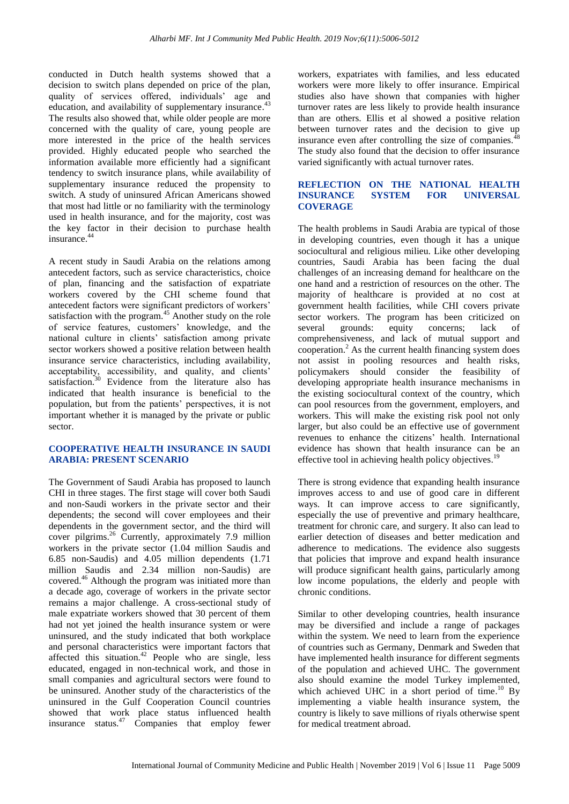conducted in Dutch health systems showed that a decision to switch plans depended on price of the plan, quality of services offered, individuals' age and education, and availability of supplementary insurance.<sup>43</sup> The results also showed that, while older people are more concerned with the quality of care, young people are more interested in the price of the health services provided. Highly educated people who searched the information available more efficiently had a significant tendency to switch insurance plans, while availability of supplementary insurance reduced the propensity to switch. A study of uninsured African Americans showed that most had little or no familiarity with the terminology used in health insurance, and for the majority, cost was the key factor in their decision to purchase health insurance. 44

A recent study in Saudi Arabia on the relations among antecedent factors, such as service characteristics, choice of plan, financing and the satisfaction of expatriate workers covered by the CHI scheme found that antecedent factors were significant predictors of workers' satisfaction with the program. <sup>45</sup> Another study on the role of service features, customers' knowledge, and the national culture in clients' satisfaction among private sector workers showed a positive relation between health insurance service characteristics, including availability, acceptability, accessibility, and quality, and clients' satisfaction.<sup>30</sup> Evidence from the literature also has indicated that health insurance is beneficial to the population, but from the patients' perspectives, it is not important whether it is managed by the private or public sector.

# **COOPERATIVE HEALTH INSURANCE IN SAUDI ARABIA: PRESENT SCENARIO**

The Government of Saudi Arabia has proposed to launch CHI in three stages. The first stage will cover both Saudi and non-Saudi workers in the private sector and their dependents; the second will cover employees and their dependents in the government sector, and the third will cover pilgrims. <sup>26</sup> Currently, approximately 7.9 million workers in the private sector (1.04 million Saudis and 6.85 non-Saudis) and 4.05 million dependents (1.71 million Saudis and 2.34 million non-Saudis) are covered. <sup>46</sup> Although the program was initiated more than a decade ago, coverage of workers in the private sector remains a major challenge. A cross-sectional study of male expatriate workers showed that 30 percent of them had not yet joined the health insurance system or were uninsured, and the study indicated that both workplace and personal characteristics were important factors that affected this situation.<sup>42</sup> People who are single, less educated, engaged in non-technical work, and those in small companies and agricultural sectors were found to be uninsured. Another study of the characteristics of the uninsured in the Gulf Cooperation Council countries showed that work place status influenced health insurance status.<sup>47</sup> Companies that employ fewer workers, expatriates with families, and less educated workers were more likely to offer insurance. Empirical studies also have shown that companies with higher turnover rates are less likely to provide health insurance than are others. Ellis et al showed a positive relation between turnover rates and the decision to give up insurance even after controlling the size of companies.<sup>4</sup> The study also found that the decision to offer insurance varied significantly with actual turnover rates.

# **REFLECTION ON THE NATIONAL HEALTH INSURANCE SYSTEM FOR UNIVERSAL COVERAGE**

The health problems in Saudi Arabia are typical of those in developing countries, even though it has a unique sociocultural and religious milieu. Like other developing countries, Saudi Arabia has been facing the dual challenges of an increasing demand for healthcare on the one hand and a restriction of resources on the other. The majority of healthcare is provided at no cost at government health facilities, while CHI covers private sector workers. The program has been criticized on several grounds: equity concerns; lack of comprehensiveness, and lack of mutual support and cooperation. <sup>2</sup> As the current health financing system does not assist in pooling resources and health risks, policymakers should consider the feasibility of developing appropriate health insurance mechanisms in the existing sociocultural context of the country, which can pool resources from the government, employers, and workers. This will make the existing risk pool not only larger, but also could be an effective use of government revenues to enhance the citizens' health. International evidence has shown that health insurance can be an effective tool in achieving health policy objectives.<sup>19</sup>

There is strong evidence that expanding health insurance improves access to and use of good care in different ways. It can improve access to care significantly, especially the use of preventive and primary healthcare, treatment for chronic care, and surgery. It also can lead to earlier detection of diseases and better medication and adherence to medications. The evidence also suggests that policies that improve and expand health insurance will produce significant health gains, particularly among low income populations, the elderly and people with chronic conditions.

Similar to other developing countries, health insurance may be diversified and include a range of packages within the system. We need to learn from the experience of countries such as Germany, Denmark and Sweden that have implemented health insurance for different segments of the population and achieved UHC. The government also should examine the model Turkey implemented, which achieved UHC in a short period of time.<sup>10</sup> By implementing a viable health insurance system, the country is likely to save millions of riyals otherwise spent for medical treatment abroad.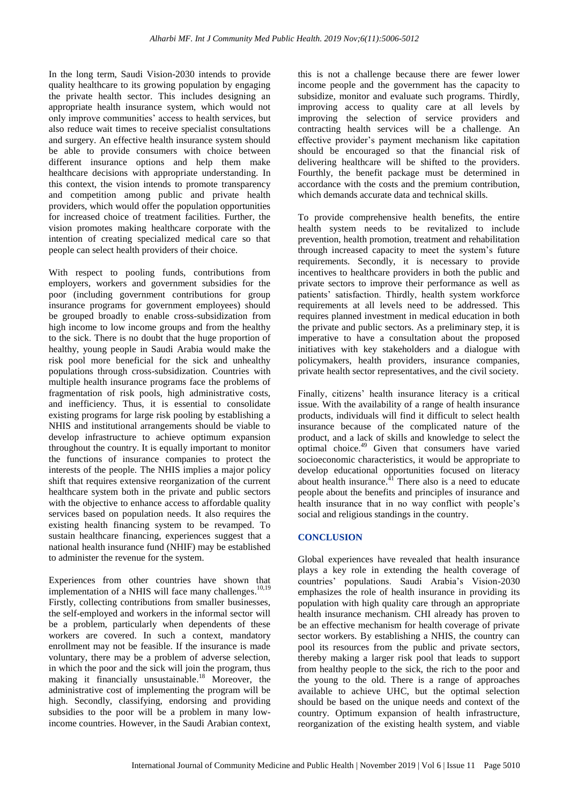In the long term, Saudi Vision-2030 intends to provide quality healthcare to its growing population by engaging the private health sector. This includes designing an appropriate health insurance system, which would not only improve communities' access to health services, but also reduce wait times to receive specialist consultations and surgery. An effective health insurance system should be able to provide consumers with choice between different insurance options and help them make healthcare decisions with appropriate understanding. In this context, the vision intends to promote transparency and competition among public and private health providers, which would offer the population opportunities for increased choice of treatment facilities. Further, the vision promotes making healthcare corporate with the intention of creating specialized medical care so that people can select health providers of their choice.

With respect to pooling funds, contributions from employers, workers and government subsidies for the poor (including government contributions for group insurance programs for government employees) should be grouped broadly to enable cross-subsidization from high income to low income groups and from the healthy to the sick. There is no doubt that the huge proportion of healthy, young people in Saudi Arabia would make the risk pool more beneficial for the sick and unhealthy populations through cross-subsidization. Countries with multiple health insurance programs face the problems of fragmentation of risk pools, high administrative costs, and inefficiency. Thus, it is essential to consolidate existing programs for large risk pooling by establishing a NHIS and institutional arrangements should be viable to develop infrastructure to achieve optimum expansion throughout the country. It is equally important to monitor the functions of insurance companies to protect the interests of the people. The NHIS implies a major policy shift that requires extensive reorganization of the current healthcare system both in the private and public sectors with the objective to enhance access to affordable quality services based on population needs. It also requires the existing health financing system to be revamped. To sustain healthcare financing, experiences suggest that a national health insurance fund (NHIF) may be established to administer the revenue for the system.

Experiences from other countries have shown that implementation of a NHIS will face many challenges.<sup>10,19</sup> Firstly, collecting contributions from smaller businesses, the self-employed and workers in the informal sector will be a problem, particularly when dependents of these workers are covered. In such a context, mandatory enrollment may not be feasible. If the insurance is made voluntary, there may be a problem of adverse selection, in which the poor and the sick will join the program, thus making it financially unsustainable.<sup>18</sup> Moreover, the administrative cost of implementing the program will be high. Secondly, classifying, endorsing and providing subsidies to the poor will be a problem in many lowincome countries. However, in the Saudi Arabian context, this is not a challenge because there are fewer lower income people and the government has the capacity to subsidize, monitor and evaluate such programs. Thirdly, improving access to quality care at all levels by improving the selection of service providers and contracting health services will be a challenge. An effective provider's payment mechanism like capitation should be encouraged so that the financial risk of delivering healthcare will be shifted to the providers. Fourthly, the benefit package must be determined in accordance with the costs and the premium contribution, which demands accurate data and technical skills.

To provide comprehensive health benefits, the entire health system needs to be revitalized to include prevention, health promotion, treatment and rehabilitation through increased capacity to meet the system's future requirements. Secondly, it is necessary to provide incentives to healthcare providers in both the public and private sectors to improve their performance as well as patients' satisfaction. Thirdly, health system workforce requirements at all levels need to be addressed. This requires planned investment in medical education in both the private and public sectors. As a preliminary step, it is imperative to have a consultation about the proposed initiatives with key stakeholders and a dialogue with policymakers, health providers, insurance companies, private health sector representatives, and the civil society.

Finally, citizens' health insurance literacy is a critical issue. With the availability of a range of health insurance products, individuals will find it difficult to select health insurance because of the complicated nature of the product, and a lack of skills and knowledge to select the optimal choice. <sup>49</sup> Given that consumers have varied socioeconomic characteristics, it would be appropriate to develop educational opportunities focused on literacy about health insurance. $41$  There also is a need to educate people about the benefits and principles of insurance and health insurance that in no way conflict with people's social and religious standings in the country.

# **CONCLUSION**

Global experiences have revealed that health insurance plays a key role in extending the health coverage of countries' populations. Saudi Arabia's Vision-2030 emphasizes the role of health insurance in providing its population with high quality care through an appropriate health insurance mechanism. CHI already has proven to be an effective mechanism for health coverage of private sector workers. By establishing a NHIS, the country can pool its resources from the public and private sectors, thereby making a larger risk pool that leads to support from healthy people to the sick, the rich to the poor and the young to the old. There is a range of approaches available to achieve UHC, but the optimal selection should be based on the unique needs and context of the country. Optimum expansion of health infrastructure, reorganization of the existing health system, and viable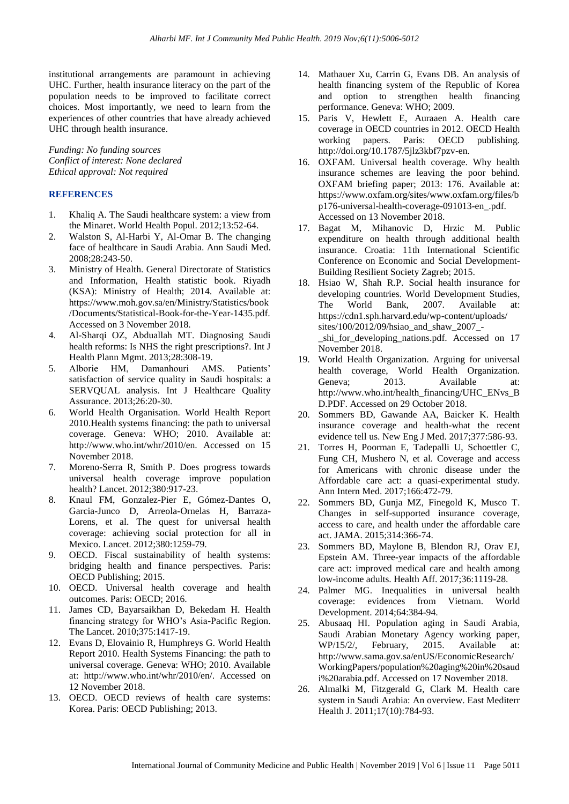institutional arrangements are paramount in achieving UHC. Further, health insurance literacy on the part of the population needs to be improved to facilitate correct choices. Most importantly, we need to learn from the experiences of other countries that have already achieved UHC through health insurance.

*Funding: No funding sources Conflict of interest: None declared Ethical approval: Not required*

# **REFERENCES**

- 1. Khaliq A. The Saudi healthcare system: a view from the Minaret. World Health Popul. 2012;13:52-64.
- 2. Walston S, Al-Harbi Y, Al-Omar B. The changing face of healthcare in Saudi Arabia. Ann Saudi Med. 2008;28:243-50.
- 3. Ministry of Health. General Directorate of Statistics and Information, Health statistic book. Riyadh (KSA): Ministry of Health; 2014. Available at: https://www.moh.gov.sa/en/Ministry/Statistics/book /Documents/Statistical-Book-for-the-Year-1435.pdf. Accessed on 3 November 2018.
- 4. Al-Sharqi OZ, Abduallah MT. Diagnosing Saudi health reforms: Is NHS the right prescriptions?. Int J Health Plann Mgmt. 2013;28:308-19.
- 5. Alborie HM, Damanhouri AMS. Patients' satisfaction of service quality in Saudi hospitals: a SERVQUAL analysis. Int J Healthcare Quality Assurance. 2013;26:20-30.
- 6. World Health Organisation. World Health Report 2010.Health systems financing: the path to universal coverage. Geneva: WHO; 2010. Available at: http://www.who.int/whr/2010/en. Accessed on 15 November 2018.
- 7. Moreno-Serra R, Smith P. Does progress towards universal health coverage improve population health? Lancet. 2012;380:917-23.
- 8. Knaul FM, Gonzalez-Pier E, Gómez-Dantes O, Garcia-Junco D, Arreola-Ornelas H, Barraza-Lorens, et al. The quest for universal health coverage: achieving social protection for all in Mexico. Lancet. 2012;380:1259-79.
- 9. OECD. Fiscal sustainability of health systems: bridging health and finance perspectives. Paris: OECD Publishing; 2015.
- 10. OECD. Universal health coverage and health outcomes. Paris: OECD; 2016.
- 11. James CD, Bayarsaikhan D, Bekedam H. Health financing strategy for WHO's Asia-Pacific Region. The Lancet. 2010;375:1417-19.
- 12. Evans D, Elovainio R, Humphreys G. World Health Report 2010. Health Systems Financing: the path to universal coverage. Geneva: WHO; 2010. Available at: http://www.who.int/whr/2010/en/. Accessed on 12 November 2018.
- 13. OECD. OECD reviews of health care systems: Korea. Paris: OECD Publishing; 2013.
- 14. Mathauer Xu, Carrin G, Evans DB. An analysis of health financing system of the Republic of Korea and option to strengthen health financing performance. Geneva: WHO; 2009.
- 15. Paris V, Hewlett E, Auraaen A. Health care coverage in OECD countries in 2012. OECD Health working papers. Paris: OECD publishing. http://doi.org/10.1787/5jlz3kbf7pzv-en.
- 16. OXFAM. Universal health coverage. Why health insurance schemes are leaving the poor behind. OXFAM briefing paper; 2013: 176. Available at: https://www.oxfam.org/sites/www.oxfam.org/files/b p176-universal-health-coverage-091013-en\_.pdf. Accessed on 13 November 2018.
- 17. Bagat M, Mihanovic D, Hrzic M. Public expenditure on health through additional health insurance. Croatia: 11th International Scientific Conference on Economic and Social Development-Building Resilient Society Zagreb; 2015.
- 18. Hsiao W, Shah R.P. Social health insurance for developing countries. World Development Studies, The World Bank, 2007. Available at: https://cdn1.sph.harvard.edu/wp-content/uploads/ sites/100/2012/09/hsiao\_and\_shaw\_2007\_ shi for developing nations.pdf. Accessed on 17 November 2018.
- 19. World Health Organization. Arguing for universal health coverage, World Health Organization. Geneva; 2013. Available at: http://www.who.int/health\_financing/UHC\_ENvs\_B D.PDF. Accessed on 29 October 2018.
- 20. Sommers BD, Gawande AA, Baicker K. Health insurance coverage and health-what the recent evidence tell us. New Eng J Med. 2017;377:586-93.
- 21. Torres H, Poorman E, Tadepalli U, Schoettler C, Fung CH, Mushero N, et al. Coverage and access for Americans with chronic disease under the Affordable care act: a quasi-experimental study. Ann Intern Med. 2017;166:472-79.
- 22. Sommers BD, Gunja MZ, Finegold K, Musco T. Changes in self-supported insurance coverage, access to care, and health under the affordable care act. JAMA. 2015;314:366-74.
- 23. Sommers BD, Maylone B, Blendon RJ, Orav EJ, Epstein AM. Three-year impacts of the affordable care act: improved medical care and health among low-income adults. Health Aff. 2017;36:1119-28.
- 24. Palmer MG. Inequalities in universal health coverage: evidences from Vietnam. World Development. 2014;64:384-94.
- 25. Abusaaq HI. Population aging in Saudi Arabia, Saudi Arabian Monetary Agency working paper, WP/15/2/, February, 2015. Available at: http://www.sama.gov.sa/enUS/EconomicResearch/ WorkingPapers/population%20aging%20in%20saud i%20arabia.pdf. Accessed on 17 November 2018.
- 26. Almalki M, Fitzgerald G, Clark M. Health care system in Saudi Arabia: An overview. East Mediterr Health J. 2011;17(10):784-93.